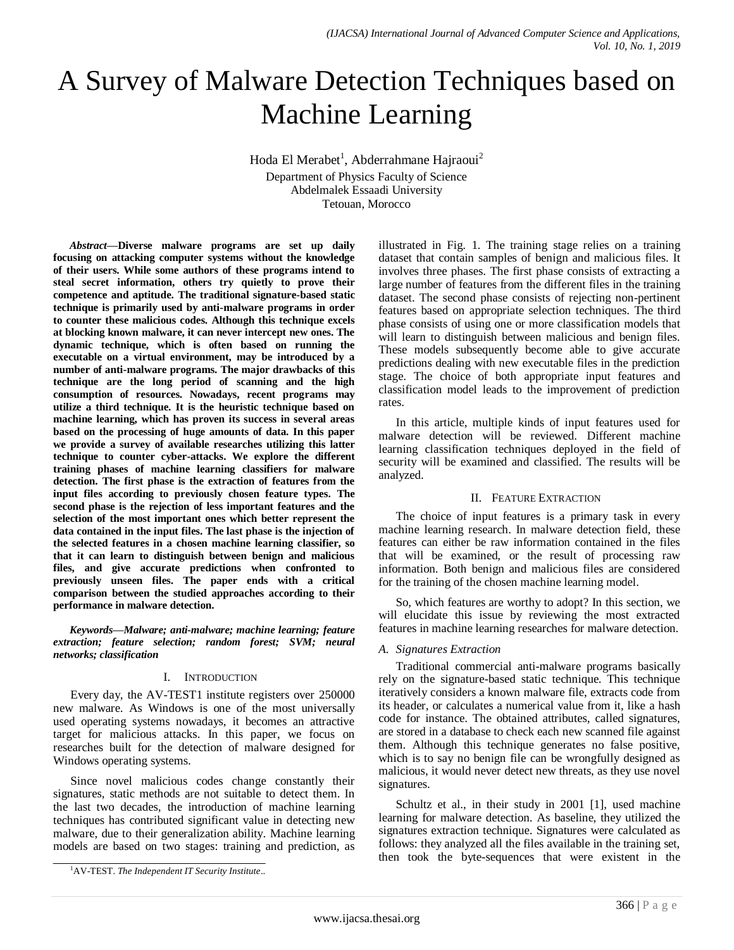# A Survey of Malware Detection Techniques based on Machine Learning

Hoda El Merabet<sup>1</sup>, Abderrahmane Hajraoui<sup>2</sup> Department of Physics Faculty of Science Abdelmalek Essaadi University Tetouan, Morocco

*Abstract***—Diverse malware programs are set up daily focusing on attacking computer systems without the knowledge of their users. While some authors of these programs intend to steal secret information, others try quietly to prove their competence and aptitude. The traditional signature-based static technique is primarily used by anti-malware programs in order to counter these malicious codes. Although this technique excels at blocking known malware, it can never intercept new ones. The dynamic technique, which is often based on running the executable on a virtual environment, may be introduced by a number of anti-malware programs. The major drawbacks of this technique are the long period of scanning and the high consumption of resources. Nowadays, recent programs may utilize a third technique. It is the heuristic technique based on machine learning, which has proven its success in several areas based on the processing of huge amounts of data. In this paper we provide a survey of available researches utilizing this latter technique to counter cyber-attacks. We explore the different training phases of machine learning classifiers for malware detection. The first phase is the extraction of features from the input files according to previously chosen feature types. The second phase is the rejection of less important features and the selection of the most important ones which better represent the data contained in the input files. The last phase is the injection of the selected features in a chosen machine learning classifier, so that it can learn to distinguish between benign and malicious files, and give accurate predictions when confronted to previously unseen files. The paper ends with a critical comparison between the studied approaches according to their performance in malware detection.**

*Keywords—Malware; anti-malware; machine learning; feature extraction; feature selection; random forest; SVM; neural networks; classification*

#### I. INTRODUCTION

Every day, the AV-TEST1 institute registers over 250000 new malware. As Windows is one of the most universally used operating systems nowadays, it becomes an attractive target for malicious attacks. In this paper, we focus on researches built for the detection of malware designed for Windows operating systems.

Since novel malicious codes change constantly their signatures, static methods are not suitable to detect them. In the last two decades, the introduction of machine learning techniques has contributed significant value in detecting new malware, due to their generalization ability. Machine learning models are based on two stages: training and prediction, as illustrated in Fig. 1. The training stage relies on a training dataset that contain samples of benign and malicious files. It involves three phases. The first phase consists of extracting a large number of features from the different files in the training dataset. The second phase consists of rejecting non-pertinent features based on appropriate selection techniques. The third phase consists of using one or more classification models that will learn to distinguish between malicious and benign files. These models subsequently become able to give accurate predictions dealing with new executable files in the prediction stage. The choice of both appropriate input features and classification model leads to the improvement of prediction rates.

In this article, multiple kinds of input features used for malware detection will be reviewed. Different machine learning classification techniques deployed in the field of security will be examined and classified. The results will be analyzed.

#### II. FEATURE EXTRACTION

The choice of input features is a primary task in every machine learning research. In malware detection field, these features can either be raw information contained in the files that will be examined, or the result of processing raw information. Both benign and malicious files are considered for the training of the chosen machine learning model.

So, which features are worthy to adopt? In this section, we will elucidate this issue by reviewing the most extracted features in machine learning researches for malware detection.

#### *A. Signatures Extraction*

Traditional commercial anti-malware programs basically rely on the signature-based static technique. This technique iteratively considers a known malware file, extracts code from its header, or calculates a numerical value from it, like a hash code for instance. The obtained attributes, called signatures, are stored in a database to check each new scanned file against them. Although this technique generates no false positive, which is to say no benign file can be wrongfully designed as malicious, it would never detect new threats, as they use novel signatures.

Schultz et al., in their study in 2001 [1], used machine learning for malware detection. As baseline, they utilized the signatures extraction technique. Signatures were calculated as follows: they analyzed all the files available in the training set, then took the byte-sequences that were existent in the

<sup>1</sup>AV-TEST. *The Independent IT Security Institute*..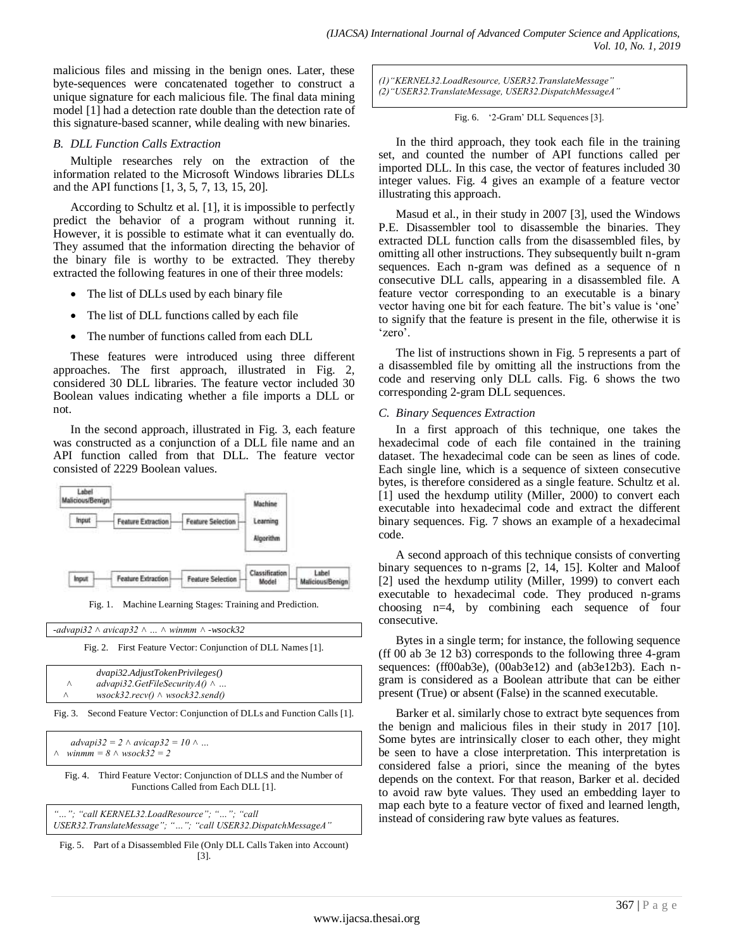malicious files and missing in the benign ones. Later, these byte-sequences were concatenated together to construct a unique signature for each malicious file. The final data mining model [1] had a detection rate double than the detection rate of this signature-based scanner, while dealing with new binaries.

#### *B. DLL Function Calls Extraction*

Multiple researches rely on the extraction of the information related to the Microsoft Windows libraries DLLs and the API functions [1, 3, 5, 7, 13, 15, 20].

According to Schultz et al. [1], it is impossible to perfectly predict the behavior of a program without running it. However, it is possible to estimate what it can eventually do. They assumed that the information directing the behavior of the binary file is worthy to be extracted. They thereby extracted the following features in one of their three models:

- The list of DLLs used by each binary file
- The list of DLL functions called by each file
- The number of functions called from each DLL

These features were introduced using three different approaches. The first approach, illustrated in Fig. 2, considered 30 DLL libraries. The feature vector included 30 Boolean values indicating whether a file imports a DLL or not.

In the second approach, illustrated in Fig. 3, each feature was constructed as a conjunction of a DLL file name and an API function called from that DLL. The feature vector consisted of 2229 Boolean values.



Fig. 1. Machine Learning Stages: Training and Prediction.

*-advapi32 ˄ avicap32 ˄ … ˄ winmm ˄ -wsock32*

Fig. 2. First Feature Vector: Conjunction of DLL Names [1].

|   | $d$ vapi32.Adjust $T$ oken $P$ rivileges $()$ |  |
|---|-----------------------------------------------|--|
| Λ | advapi32.GetFileSecurity $A() \wedge $        |  |
| Λ | $wsock32,recv() \wedge wsock32. send()$       |  |

Fig. 3. Second Feature Vector: Conjunction of DLLs and Function Calls [1].

*advapi32* = 2 ∧ *avicap32* = 10 ∧ …  $\textit{winmm} = 8 \land \textit{wsock32} = 2$ 

Fig. 4. Third Feature Vector: Conjunction of DLLS and the Number of Functions Called from Each DLL [1].

*"…"; "call KERNEL32.LoadResource"; "…"; "call USER32.TranslateMessage"; "…"; "call USER32.DispatchMessageA"*

Fig. 5. Part of a Disassembled File (Only DLL Calls Taken into Account) [3].

*(1)"KERNEL32.LoadResource, USER32.TranslateMessage" (2)"USER32.TranslateMessage, USER32.DispatchMessageA"*

#### Fig. 6. "2-Gram" DLL Sequences [3].

In the third approach, they took each file in the training set, and counted the number of API functions called per imported DLL. In this case, the vector of features included 30 integer values. Fig. 4 gives an example of a feature vector illustrating this approach.

Masud et al., in their study in 2007 [3], used the Windows P.E. Disassembler tool to disassemble the binaries. They extracted DLL function calls from the disassembled files, by omitting all other instructions. They subsequently built n-gram sequences. Each n-gram was defined as a sequence of n consecutive DLL calls, appearing in a disassembled file. A feature vector corresponding to an executable is a binary vector having one bit for each feature. The bit's value is 'one' to signify that the feature is present in the file, otherwise it is 'zero'.

The list of instructions shown in Fig. 5 represents a part of a disassembled file by omitting all the instructions from the code and reserving only DLL calls. Fig. 6 shows the two corresponding 2-gram DLL sequences.

## *C. Binary Sequences Extraction*

In a first approach of this technique, one takes the hexadecimal code of each file contained in the training dataset. The hexadecimal code can be seen as lines of code. Each single line, which is a sequence of sixteen consecutive bytes, is therefore considered as a single feature. Schultz et al. [1] used the hexdump utility (Miller, 2000) to convert each executable into hexadecimal code and extract the different binary sequences. Fig. 7 shows an example of a hexadecimal code.

A second approach of this technique consists of converting binary sequences to n-grams [2, 14, 15]. Kolter and Maloof [2] used the hexdump utility (Miller, 1999) to convert each executable to hexadecimal code. They produced n-grams choosing n=4, by combining each sequence of four consecutive.

Bytes in a single term; for instance, the following sequence (ff 00 ab 3e 12 b3) corresponds to the following three 4-gram sequences: (ff00ab3e), (00ab3e12) and (ab3e12b3). Each ngram is considered as a Boolean attribute that can be either present (True) or absent (False) in the scanned executable.

Barker et al. similarly chose to extract byte sequences from the benign and malicious files in their study in 2017 [10]. Some bytes are intrinsically closer to each other, they might be seen to have a close interpretation. This interpretation is considered false a priori, since the meaning of the bytes depends on the context. For that reason, Barker et al. decided to avoid raw byte values. They used an embedding layer to map each byte to a feature vector of fixed and learned length, instead of considering raw byte values as features.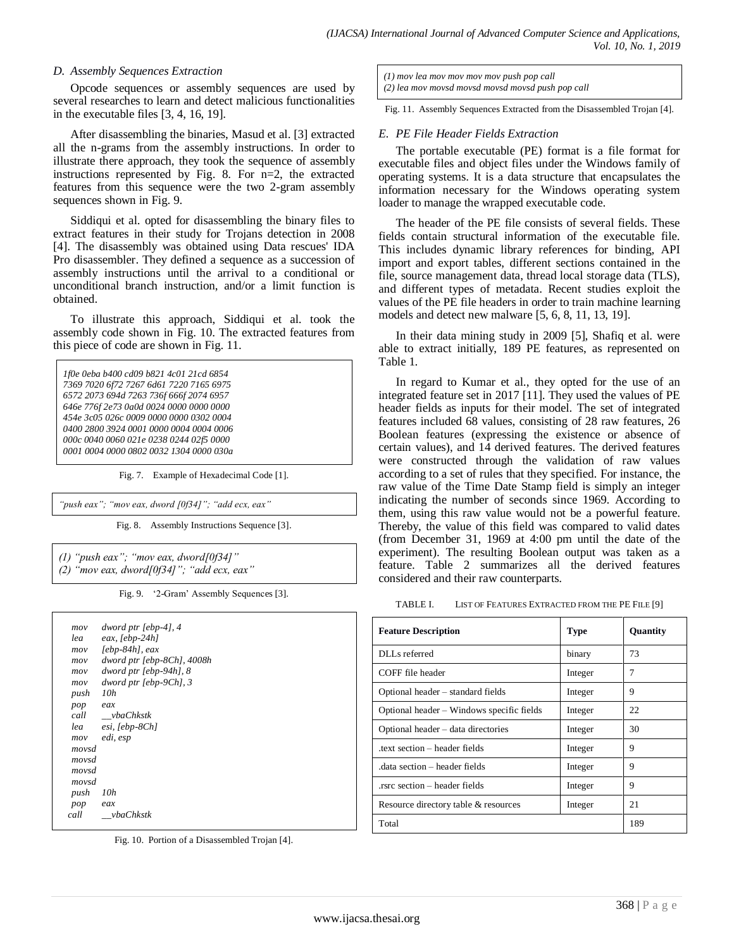#### *D. Assembly Sequences Extraction*

Opcode sequences or assembly sequences are used by several researches to learn and detect malicious functionalities in the executable files [3, 4, 16, 19].

After disassembling the binaries, Masud et al. [3] extracted all the n-grams from the assembly instructions. In order to illustrate there approach, they took the sequence of assembly instructions represented by Fig. 8. For n=2, the extracted features from this sequence were the two 2-gram assembly sequences shown in Fig. 9.

Siddiqui et al. opted for disassembling the binary files to extract features in their study for Trojans detection in 2008 [4]. The disassembly was obtained using Data rescues' IDA Pro disassembler. They defined a sequence as a succession of assembly instructions until the arrival to a conditional or unconditional branch instruction, and/or a limit function is obtained.

To illustrate this approach, Siddiqui et al. took the assembly code shown in Fig. 10. The extracted features from this piece of code are shown in Fig. 11.

*1f0e 0eba b400 cd09 b821 4c01 21cd 6854 7369 7020 6f72 7267 6d61 7220 7165 6975 6572 2073 694d 7263 736f 666f 2074 6957 646e 776f 2e73 0a0d 0024 0000 0000 0000 454e 3c05 026c 0009 0000 0000 0302 0004 0400 2800 3924 0001 0000 0004 0004 0006 000c 0040 0060 021e 0238 0244 02f5 0000 0001 0004 0000 0802 0032 1304 0000 030a*

Fig. 7. Example of Hexadecimal Code [1].

*"push eax"; "mov eax, dword [0f34]"; "add ecx, eax"*

Fig. 8. Assembly Instructions Sequence [3].

*(1) "push eax"; "mov eax, dword[0f34]" (2) "mov eax, dword[0f34]"; "add ecx, eax"*

Fig. 9. "2-Gram" Assembly Sequences [3].

| mov   | dword ptr [ebp-4], 4       |
|-------|----------------------------|
| lea   | eax, [ebp-24h]             |
| mov   | $[ebp-84h]$ , eax          |
| mov   | dword ptr [ebp-8Ch], 4008h |
| mov   | dword ptr [ebp-94h], 8     |
| mov   | dword ptr [ebp-9Ch], 3     |
| push  | 10h                        |
| pop   | eax                        |
| call  | vbaChkstk                  |
| lea   | esi, [ebp-8Ch]             |
| mov   | edi, esp                   |
| movsd |                            |
| movsd |                            |
| movsd |                            |
| movsd |                            |
| push  | 10h                        |
| pop   | eax                        |
| call  | <i>vbaChkstk</i>           |
|       |                            |

Fig. 10. Portion of a Disassembled Trojan [4].

*(1) mov lea mov mov mov mov push pop call (2) lea mov movsd movsd movsd movsd push pop call*

Fig. 11. Assembly Sequences Extracted from the Disassembled Trojan [4].

#### *E. PE File Header Fields Extraction*

The portable executable (PE) format is a file format for executable files and object files under the Windows family of operating systems. It is a data structure that encapsulates the information necessary for the Windows operating system loader to manage the wrapped executable code.

The header of the PE file consists of several fields. These fields contain structural information of the executable file. This includes dynamic library references for binding, API import and export tables, different sections contained in the file, source management data, thread local storage data (TLS), and different types of metadata. Recent studies exploit the values of the PE file headers in order to train machine learning models and detect new malware [5, 6, 8, 11, 13, 19].

In their data mining study in 2009 [5], Shafiq et al. were able to extract initially, 189 PE features, as represented on Table 1.

In regard to Kumar et al., they opted for the use of an integrated feature set in 2017 [11]. They used the values of PE header fields as inputs for their model. The set of integrated features included 68 values, consisting of 28 raw features, 26 Boolean features (expressing the existence or absence of certain values), and 14 derived features. The derived features were constructed through the validation of raw values according to a set of rules that they specified. For instance, the raw value of the Time Date Stamp field is simply an integer indicating the number of seconds since 1969. According to them, using this raw value would not be a powerful feature. Thereby, the value of this field was compared to valid dates (from December 31, 1969 at 4:00 pm until the date of the experiment). The resulting Boolean output was taken as a feature. Table 2 summarizes all the derived features considered and their raw counterparts.

TABLE I. LIST OF FEATURES EXTRACTED FROM THE PE FILE [9]

| <b>Feature Description</b>                | <b>Type</b> | Quantity |
|-------------------------------------------|-------------|----------|
| DLLs referred                             | binary      | 73       |
| COFF file header                          | Integer     | 7        |
| Optional header – standard fields         | Integer     | 9        |
| Optional header – Windows specific fields | Integer     | 22       |
| Optional header – data directories        | Integer     | 30       |
| text section – header fields              | Integer     | 9        |
| data section – header fields              | Integer     | 9        |
| rsrc section – header fields              | Integer     | 9        |
| Resource directory table & resources      | Integer     | 21       |
| Total                                     |             | 189      |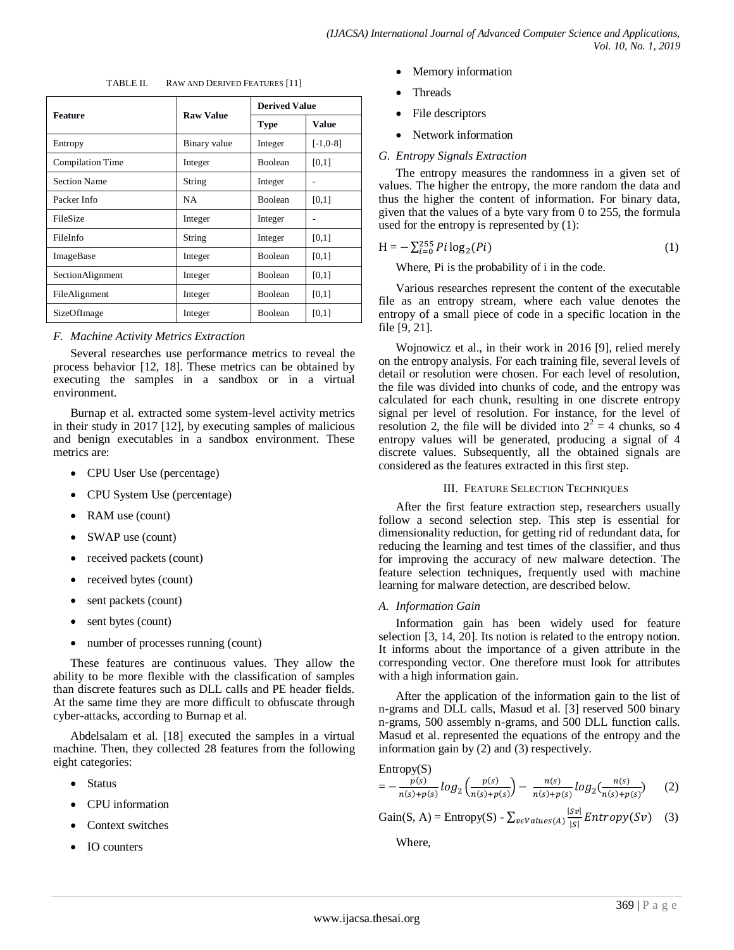|                     | <b>Raw Value</b> | <b>Derived Value</b> |             |
|---------------------|------------------|----------------------|-------------|
| <b>Feature</b>      |                  | <b>Type</b>          | Value       |
| Entropy             | Binary value     | Integer              | $[-1, 0-8]$ |
| Compilation Time    | Integer          | <b>Boolean</b>       | [0,1]       |
| <b>Section Name</b> | String           | Integer              |             |
| Packer Info         | <b>NA</b>        | Boolean              | [0,1]       |
| FileSize            | Integer          | Integer              |             |
| FileInfo            | String           | Integer              | [0,1]       |
| ImageBase           | Integer          | <b>Boolean</b>       | [0,1]       |
| SectionAlignment    | Integer          | <b>Boolean</b>       | [0,1]       |
| FileAlignment       | Integer          | Boolean              | [0,1]       |
| SizeOfImage         | Integer          | Boolean              | [0,1]       |

## *F. Machine Activity Metrics Extraction*

Several researches use performance metrics to reveal the process behavior [12, 18]. These metrics can be obtained by executing the samples in a sandbox or in a virtual environment.

Burnap et al. extracted some system-level activity metrics in their study in 2017 [12], by executing samples of malicious and benign executables in a sandbox environment. These metrics are:

- CPU User Use (percentage)
- CPU System Use (percentage)
- RAM use (count)
- SWAP use (count)
- received packets (count)
- received bytes (count)
- sent packets (count)
- sent bytes (count)
- number of processes running (count)

These features are continuous values. They allow the ability to be more flexible with the classification of samples than discrete features such as DLL calls and PE header fields. At the same time they are more difficult to obfuscate through cyber-attacks, according to Burnap et al.

Abdelsalam et al. [18] executed the samples in a virtual machine. Then, they collected 28 features from the following eight categories:

- **Status**
- CPU information
- Context switches
- IO counters
- Memory information
- Threads
- File descriptors
- Network information

#### *G. Entropy Signals Extraction*

The entropy measures the randomness in a given set of values. The higher the entropy, the more random the data and thus the higher the content of information. For binary data, given that the values of a byte vary from 0 to 255, the formula used for the entropy is represented by (1):

$$
H = -\sum_{i=0}^{255} P_i \log_2(P_i)
$$
 (1)

Where, Pi is the probability of i in the code.

Various researches represent the content of the executable file as an entropy stream, where each value denotes the entropy of a small piece of code in a specific location in the file [9, 21].

Wojnowicz et al., in their work in 2016 [9], relied merely on the entropy analysis. For each training file, several levels of detail or resolution were chosen. For each level of resolution, the file was divided into chunks of code, and the entropy was calculated for each chunk, resulting in one discrete entropy signal per level of resolution. For instance, for the level of resolution 2, the file will be divided into  $2^2 = 4$  chunks, so 4 entropy values will be generated, producing a signal of 4 discrete values. Subsequently, all the obtained signals are considered as the features extracted in this first step.

#### III. FEATURE SELECTION TECHNIQUES

After the first feature extraction step, researchers usually follow a second selection step. This step is essential for dimensionality reduction, for getting rid of redundant data, for reducing the learning and test times of the classifier, and thus for improving the accuracy of new malware detection. The feature selection techniques, frequently used with machine learning for malware detection, are described below.

#### *A. Information Gain*

Information gain has been widely used for feature selection [3, 14, 20]. Its notion is related to the entropy notion. It informs about the importance of a given attribute in the corresponding vector. One therefore must look for attributes with a high information gain.

After the application of the information gain to the list of n-grams and DLL calls, Masud et al. [3] reserved 500 binary n-grams, 500 assembly n-grams, and 500 DLL function calls. Masud et al. represented the equations of the entropy and the information gain by (2) and (3) respectively.

Entropy(S)

$$
= -\frac{p(s)}{n(s) + p(s)} log_2 \left( \frac{p(s)}{n(s) + p(s)} \right) - \frac{n(s)}{n(s) + p(s)} log_2 \left( \frac{n(s)}{n(s) + p(s)} \right) \tag{2}
$$

Gain(S, A) = Entropy(S) - 
$$
\sum_{v \in Values(A)} \frac{|Sv|}{|S|} Entropy(Sv)
$$
 (3)

Where,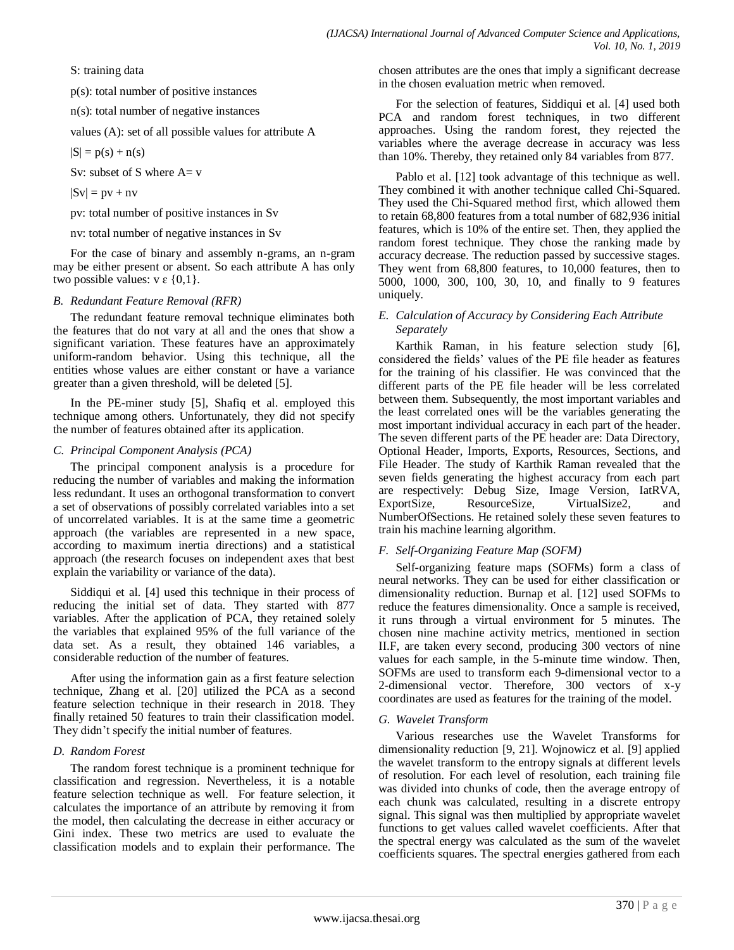S: training data

p(s): total number of positive instances

n(s): total number of negative instances

values (A): set of all possible values for attribute A

 $|S| = p(s) + n(s)$ 

Sv: subset of S where  $A= v$ 

 $|Sv| = pv + nv$ 

pv: total number of positive instances in Sv

nv: total number of negative instances in Sv

For the case of binary and assembly n-grams, an n-gram may be either present or absent. So each attribute A has only two possible values:  $v \in \{0,1\}$ .

## *B. Redundant Feature Removal (RFR)*

The redundant feature removal technique eliminates both the features that do not vary at all and the ones that show a significant variation. These features have an approximately uniform-random behavior. Using this technique, all the entities whose values are either constant or have a variance greater than a given threshold, will be deleted [5].

In the PE-miner study [5], Shafiq et al. employed this technique among others. Unfortunately, they did not specify the number of features obtained after its application.

## *C. Principal Component Analysis (PCA)*

The principal component analysis is a procedure for reducing the number of variables and making the information less redundant. It uses an [orthogonal transformation](https://en.wikipedia.org/wiki/Orthogonal_transformation) to convert a set of observations of possibly correlated variables into a set of [uncorrelated](https://en.wikipedia.org/wiki/Correlation_and_dependence) variables. It is at the same time a geometric approach (the variables are represented in a new space, according to maximum inertia directions) and a statistical approach (the research focuses on independent axes that best explain the variability or variance of the data).

Siddiqui et al. [4] used this technique in their process of reducing the initial set of data. They started with 877 variables. After the application of PCA, they retained solely the variables that explained 95% of the full variance of the data set. As a result, they obtained 146 variables, a considerable reduction of the number of features.

After using the information gain as a first feature selection technique, Zhang et al. [20] utilized the PCA as a second feature selection technique in their research in 2018. They finally retained 50 features to train their classification model. They didn"t specify the initial number of features.

## *D. Random Forest*

The random forest technique is a prominent technique for classification and regression. Nevertheless, it is a notable feature selection technique as well. For feature selection, it calculates the importance of an attribute by removing it from the model, then calculating the decrease in either accuracy or Gini index. These two metrics are used to evaluate the classification models and to explain their performance. The chosen attributes are the ones that imply a significant decrease in the chosen evaluation metric when removed.

For the selection of features, Siddiqui et al. [4] used both PCA and random forest techniques, in two different approaches. Using the random forest, they rejected the variables where the average decrease in accuracy was less than 10%. Thereby, they retained only 84 variables from 877.

Pablo et al. [12] took advantage of this technique as well. They combined it with another technique called Chi-Squared. They used the Chi-Squared method first, which allowed them to retain 68,800 features from a total number of 682,936 initial features, which is 10% of the entire set. Then, they applied the random forest technique. They chose the ranking made by accuracy decrease. The reduction passed by successive stages. They went from 68,800 features, to 10,000 features, then to 5000, 1000, 300, 100, 30, 10, and finally to 9 features uniquely.

## *E. Calculation of Accuracy by Considering Each Attribute Separately*

Karthik Raman, in his feature selection study [6], considered the fields" values of the PE file header as features for the training of his classifier. He was convinced that the different parts of the PE file header will be less correlated between them. Subsequently, the most important variables and the least correlated ones will be the variables generating the most important individual accuracy in each part of the header. The seven different parts of the PE header are: Data Directory, Optional Header, Imports, Exports, Resources, Sections, and File Header. The study of Karthik Raman revealed that the seven fields generating the highest accuracy from each part are respectively: Debug Size, Image Version, IatRVA, ExportSize, ResourceSize, VirtualSize2, and NumberOfSections. He retained solely these seven features to train his machine learning algorithm.

## *F. Self-Organizing Feature Map (SOFM)*

Self-organizing feature maps (SOFMs) form a class of neural networks. They can be used for either classification or dimensionality reduction. Burnap et al. [12] used SOFMs to reduce the features dimensionality. Once a sample is received, it runs through a virtual environment for 5 minutes. The chosen nine machine activity metrics, mentioned in section II.F, are taken every second, producing 300 vectors of nine values for each sample, in the 5-minute time window. Then, SOFMs are used to transform each 9-dimensional vector to a 2-dimensional vector. Therefore, 300 vectors of x-y coordinates are used as features for the training of the model.

## *G. Wavelet Transform*

Various researches use the Wavelet Transforms for dimensionality reduction [9, 21]. Wojnowicz et al. [9] applied the wavelet transform to the entropy signals at different levels of resolution. For each level of resolution, each training file was divided into chunks of code, then the average entropy of each chunk was calculated, resulting in a discrete entropy signal. This signal was then multiplied by appropriate wavelet functions to get values called wavelet coefficients. After that the spectral energy was calculated as the sum of the wavelet coefficients squares. The spectral energies gathered from each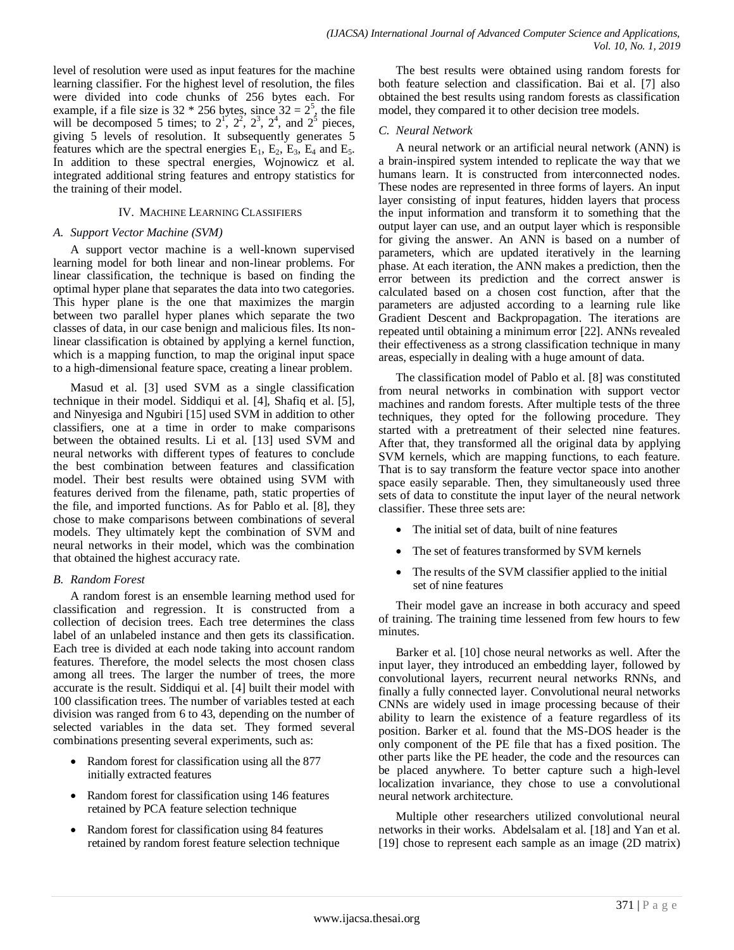level of resolution were used as input features for the machine learning classifier. For the highest level of resolution, the files were divided into code chunks of 256 bytes each. For example, if a file size is  $32 * 256$  bytes, since  $32 = 2^5$ , the file will be decomposed 5 times; to  $2^1$ ,  $2^2$ ,  $2^3$ ,  $2^4$ , and  $2^5$  pieces, giving 5 levels of resolution. It subsequently generates 5 features which are the spectral energies  $E_1$ ,  $E_2$ ,  $E_3$ ,  $E_4$  and  $E_5$ . In addition to these spectral energies, Wojnowicz et al. integrated additional string features and entropy statistics for the training of their model.

#### IV. MACHINE LEARNING CLASSIFIERS

#### *A. Support Vector Machine (SVM)*

A support vector machine is a well-known supervised learning model for both linear and non-linear problems. For linear classification, the technique is based on finding the optimal hyper plane that separates the data into two categories. This hyper plane is the one that maximizes the margin between two parallel hyper planes which separate the two classes of data, in our case benign and malicious files. Its nonlinear classification is obtained by applying a kernel function, which is a mapping function, to map the original input space to a high-dimensional feature space, creating a linear problem.

Masud et al. [3] used SVM as a single classification technique in their model. Siddiqui et al. [4], Shafiq et al. [5], and Ninyesiga and Ngubiri [15] used SVM in addition to other classifiers, one at a time in order to make comparisons between the obtained results. Li et al. [13] used SVM and neural networks with different types of features to conclude the best combination between features and classification model. Their best results were obtained using SVM with features derived from the filename, path, static properties of the file, and imported functions. As for Pablo et al. [8], they chose to make comparisons between combinations of several models. They ultimately kept the combination of SVM and neural networks in their model, which was the combination that obtained the highest accuracy rate.

#### *B. Random Forest*

A random forest is an ensemble learning method used for classification and regression. It is constructed from a collection of decision trees. Each tree determines the class label of an unlabeled instance and then gets its classification. Each tree is divided at each node taking into account random features. Therefore, the model selects the most chosen class among all trees. The larger the number of trees, the more accurate is the result. Siddiqui et al. [4] built their model with 100 classification trees. The number of variables tested at each division was ranged from 6 to 43, depending on the number of selected variables in the data set. They formed several combinations presenting several experiments, such as:

- Random forest for classification using all the 877 initially extracted features
- Random forest for classification using 146 features retained by PCA feature selection technique
- Random forest for classification using 84 features retained by random forest feature selection technique

The best results were obtained using random forests for both feature selection and classification. Bai et al. [7] also obtained the best results using random forests as classification model, they compared it to other decision tree models.

#### *C. Neural Network*

A neural network or an artificial neural network (ANN) is a brain-inspired system intended to replicate the way that we humans learn. It is constructed from interconnected nodes. These nodes are represented in three forms of layers. An input layer consisting of input features, hidden layers that process the input information and transform it to something that the output layer can use, and an output layer which is responsible for giving the answer. An ANN is based on a number of parameters, which are updated iteratively in the learning phase. At each iteration, the ANN makes a prediction, then the error between its prediction and the correct answer is calculated based on a chosen cost function, after that the parameters are adjusted according to a learning rule like Gradient Descent and Backpropagation. The iterations are repeated until obtaining a minimum error [22]. ANNs revealed their effectiveness as a strong classification technique in many areas, especially in dealing with a huge amount of data.

The classification model of Pablo et al. [8] was constituted from neural networks in combination with support vector machines and random forests. After multiple tests of the three techniques, they opted for the following procedure. They started with a pretreatment of their selected nine features. After that, they transformed all the original data by applying SVM kernels, which are mapping functions, to each feature. That is to say transform the feature vector space into another space easily separable. Then, they simultaneously used three sets of data to constitute the input layer of the neural network classifier. These three sets are:

- The initial set of data, built of nine features
- The set of features transformed by SVM kernels
- The results of the SVM classifier applied to the initial set of nine features

Their model gave an increase in both accuracy and speed of training. The training time lessened from few hours to few minutes.

Barker et al. [10] chose neural networks as well. After the input layer, they introduced an embedding layer, followed by convolutional layers, recurrent neural networks RNNs, and finally a fully connected layer. Convolutional neural networks CNNs are widely used in image processing because of their ability to learn the existence of a feature regardless of its position. Barker et al. found that the MS-DOS header is the only component of the PE file that has a fixed position. The other parts like the PE header, the code and the resources can be placed anywhere. To better capture such a high-level localization invariance, they chose to use a convolutional neural network architecture.

Multiple other researchers utilized convolutional neural networks in their works. Abdelsalam et al. [18] and Yan et al. [19] chose to represent each sample as an image (2D matrix)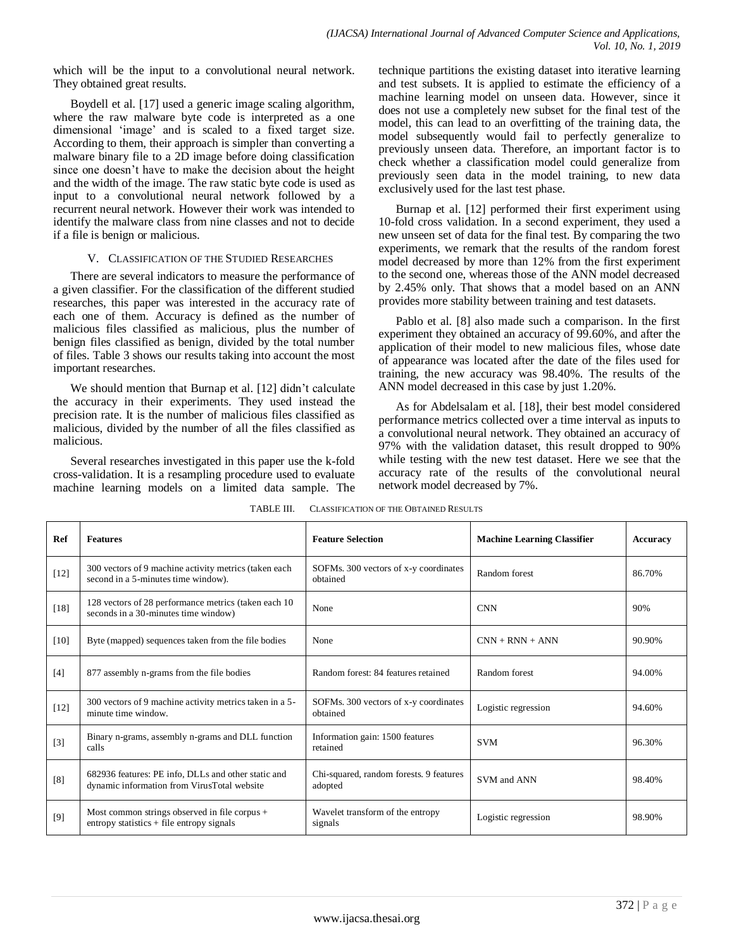which will be the input to a convolutional neural network. They obtained great results.

Boydell et al. [17] used a generic image scaling algorithm, where the raw malware byte code is interpreted as a one dimensional 'image' and is scaled to a fixed target size. According to them, their approach is simpler than converting a malware binary file to a 2D image before doing classification since one doesn"t have to make the decision about the height and the width of the image. The raw static byte code is used as input to a convolutional neural network followed by a recurrent neural network. However their work was intended to identify the malware class from nine classes and not to decide if a file is benign or malicious.

#### V. CLASSIFICATION OF THE STUDIED RESEARCHES

There are several indicators to measure the performance of a given classifier. For the classification of the different studied researches, this paper was interested in the accuracy rate of each one of them. Accuracy is defined as the number of malicious files classified as malicious, plus the number of benign files classified as benign, divided by the total number of files. Table 3 shows our results taking into account the most important researches.

We should mention that Burnap et al. [12] didn't calculate the accuracy in their experiments. They used instead the precision rate. It is the number of malicious files classified as malicious, divided by the number of all the files classified as malicious.

Several researches investigated in this paper use the k-fold cross-validation. It is a resampling procedure used to evaluate machine learning models on a limited data sample. The technique partitions the existing dataset into iterative learning and test subsets. It is applied to estimate the efficiency of a machine learning model on unseen data. However, since it does not use a completely new subset for the final test of the model, this can lead to an overfitting of the training data, the model subsequently would fail to perfectly generalize to previously unseen data. Therefore, an important factor is to check whether a classification model could generalize from previously seen data in the model training, to new data exclusively used for the last test phase.

Burnap et al. [12] performed their first experiment using 10-fold cross validation. In a second experiment, they used a new unseen set of data for the final test. By comparing the two experiments, we remark that the results of the random forest model decreased by more than 12% from the first experiment to the second one, whereas those of the ANN model decreased by 2.45% only. That shows that a model based on an ANN provides more stability between training and test datasets.

Pablo et al. [8] also made such a comparison. In the first experiment they obtained an accuracy of 99.60%, and after the application of their model to new malicious files, whose date of appearance was located after the date of the files used for training, the new accuracy was 98.40%. The results of the ANN model decreased in this case by just 1.20%.

As for Abdelsalam et al. [18], their best model considered performance metrics collected over a time interval as inputs to a convolutional neural network. They obtained an accuracy of 97% with the validation dataset, this result dropped to 90% while testing with the new test dataset. Here we see that the accuracy rate of the results of the convolutional neural network model decreased by 7%.

| Ref               | <b>Features</b>                                                                                    | <b>Feature Selection</b>                           | <b>Machine Learning Classifier</b> | Accuracy |
|-------------------|----------------------------------------------------------------------------------------------------|----------------------------------------------------|------------------------------------|----------|
| $[12]$            | 300 vectors of 9 machine activity metrics (taken each<br>second in a 5-minutes time window).       | SOFMs. 300 vectors of x-y coordinates<br>obtained  | Random forest                      | 86.70%   |
| $[18]$            | 128 vectors of 28 performance metrics (taken each 10<br>seconds in a 30-minutes time window)       | None                                               | <b>CNN</b>                         | 90%      |
| [10]              | Byte (mapped) sequences taken from the file bodies                                                 | None                                               | $CNN + RNN + ANN$                  | 90.90%   |
| [4]               | 877 assembly n-grams from the file bodies                                                          | Random forest: 84 features retained                | Random forest                      | 94.00%   |
| $[12]$            | 300 vectors of 9 machine activity metrics taken in a 5-<br>minute time window.                     | SOFMs. 300 vectors of x-y coordinates<br>obtained  | Logistic regression                | 94.60%   |
| $\lceil 3 \rceil$ | Binary n-grams, assembly n-grams and DLL function<br>calls                                         | Information gain: 1500 features<br>retained        | <b>SVM</b>                         | 96.30%   |
| [8]               | 682936 features: PE info, DLLs and other static and<br>dynamic information from VirusTotal website | Chi-squared, random forests. 9 features<br>adopted | SVM and ANN                        | 98.40%   |
| $[9]$             | Most common strings observed in file corpus $+$<br>$entropy$ statistics $+$ file entropy signals   | Wavelet transform of the entropy<br>signals        | Logistic regression                | 98.90%   |

TABLE III. CLASSIFICATION OF THE OBTAINED RESULTS